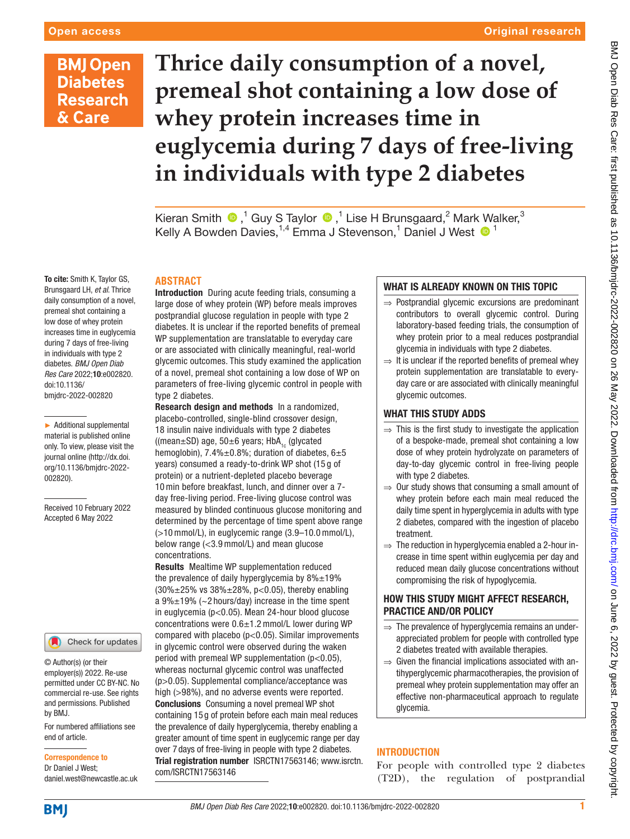#### Original research

## **BMJ Open Diabetes Research** & Care

# **Thrice daily consumption of a novel, premeal shot containing a low dose of whey protein increases time in euglycemia during 7 days of free-living in individuals with type 2 diabetes**

Kieran Smith  $\bigcirc$  ,<sup>1</sup> Guy S Taylor  $\bigcirc$  ,<sup>1</sup> Lise H Brunsgaard,<sup>2</sup> Mark Walker,<sup>3</sup> Kelly A Bowden Davies, <sup>1,4</sup> Emma J Stevenson, <sup>1</sup> Daniel J West <sup>1</sup>

#### **ABSTRACT**

Introduction During acute feeding trials, consuming a large dose of whey protein (WP) before meals improves postprandial glucose regulation in people with type 2 diabetes. It is unclear if the reported benefits of premeal WP supplementation are translatable to everyday care or are associated with clinically meaningful, real-world glycemic outcomes. This study examined the application of a novel, premeal shot containing a low dose of WP on parameters of free-living glycemic control in people with type 2 diabetes.

Research design and methods In a randomized, placebo-controlled, single-blind crossover design, 18 insulin naive individuals with type 2 diabetes ((mean $\pm$ SD) age, 50 $\pm$ 6 years; HbA<sub>1c</sub> (glycated hemoglobin),  $7.4\% \pm 0.8\%$ ; duration of diabetes,  $6 \pm 5$ years) consumed a ready-to-drink WP shot (15 g of protein) or a nutrient-depleted placebo beverage 10 min before breakfast, lunch, and dinner over a 7 day free-living period. Free-living glucose control was measured by blinded continuous glucose monitoring and determined by the percentage of time spent above range (>10 mmol/L), in euglycemic range (3.9–10.0 mmol/L), below range (<3.9 mmol/L) and mean glucose concentrations.

Results Mealtime WP supplementation reduced the prevalence of daily hyperglycemia by  $8\% \pm 19\%$  $(30\% \pm 25\% \text{ vs } 38\% \pm 28\%, \text{ p} < 0.05)$ , thereby enabling a  $9\% \pm 19\%$  (~2 hours/day) increase in the time spent in euglycemia (p<0.05). Mean 24-hour blood glucose concentrations were 0.6±1.2 mmol/L lower during WP compared with placebo (p<0.05). Similar improvements in glycemic control were observed during the waken period with premeal WP supplementation (p<0.05), whereas nocturnal glycemic control was unaffected (p>0.05). Supplemental compliance/acceptance was high (>98%), and no adverse events were reported. Conclusions Consuming a novel premeal WP shot containing 15 g of protein before each main meal reduces the prevalence of daily hyperglycemia, thereby enabling a greater amount of time spent in euglycemic range per day over 7 days of free-living in people with type 2 diabetes. Trial registration number <ISRCTN17563146>; [www.isrctn.](http://www.isrctn.com/ISRCTN17563146) [com/ISRCTN17563146](http://www.isrctn.com/ISRCTN17563146)

#### WHAT IS ALREADY KNOWN ON THIS TOPIC

- ⇒ Postprandial glycemic excursions are predominant contributors to overall glycemic control. During laboratory-based feeding trials, the consumption of whey protein prior to a meal reduces postprandial glycemia in individuals with type 2 diabetes.
- $\Rightarrow$  It is unclear if the reported benefits of premeal whey protein supplementation are translatable to everyday care or are associated with clinically meaningful glycemic outcomes.

#### WHAT THIS STUDY ADDS

- $\Rightarrow$  This is the first study to investigate the application of a bespoke-made, premeal shot containing a low dose of whey protein hydrolyzate on parameters of day-to-day glycemic control in free-living people with type 2 diabetes.
- $\Rightarrow$  Our study shows that consuming a small amount of whey protein before each main meal reduced the daily time spent in hyperglycemia in adults with type 2 diabetes, compared with the ingestion of placebo treatment.
- $\Rightarrow$  The reduction in hyperglycemia enabled a 2-hour increase in time spent within euglycemia per day and reduced mean daily glucose concentrations without compromising the risk of hypoglycemia.

#### HOW THIS STUDY MIGHT AFFECT RESEARCH, PRACTICE AND/OR POLICY

- $\Rightarrow$  The prevalence of hyperglycemia remains an underappreciated problem for people with controlled type 2 diabetes treated with available therapies.
- $\Rightarrow$  Given the financial implications associated with antihyperglycemic pharmacotherapies, the provision of premeal whey protein supplementation may offer an effective non-pharmaceutical approach to regulate glycemia.

### INTRODUCTION

For people with controlled type 2 diabetes (T2D), the regulation of postprandial

To cite: Smith K, Taylor GS, Brunsgaard LH, *et al*. Thrice daily consumption of a novel, premeal shot containing a low dose of whey protein increases time in euglycemia during 7 days of free-living in individuals with type 2 diabetes. *BMJ Open Diab Res Care* 2022;10:e002820. doi:10.1136/ bmjdrc-2022-002820

► Additional supplemental material is published online only. To view, please visit the journal online ([http://dx.doi.](http://dx.doi.org/10.1136/bmjdrc-2022-002820) [org/10.1136/bmjdrc-2022-](http://dx.doi.org/10.1136/bmjdrc-2022-002820) [002820](http://dx.doi.org/10.1136/bmjdrc-2022-002820)).

Received 10 February 2022 Accepted 6 May 2022



© Author(s) (or their employer(s)) 2022. Re-use permitted under CC BY-NC. No commercial re-use. See rights and permissions. Published by BMJ.

For numbered affiliations see end of article.

Correspondence to Dr Daniel J West;

**BMI** 

daniel.west@newcastle.ac.uk

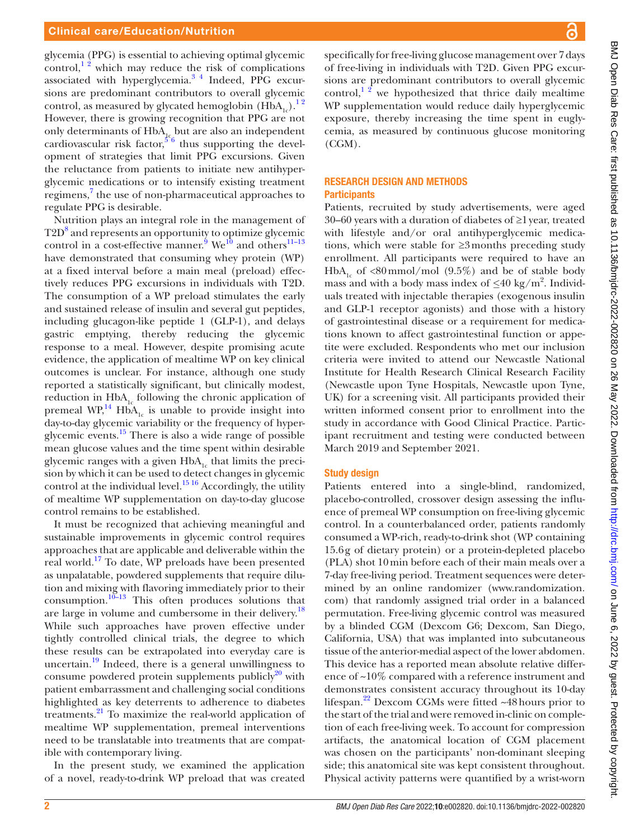glycemia (PPG) is essential to achieving optimal glycemic control,<sup>12</sup> which may reduce the risk of complications associated with hyperglycemia.<sup>34</sup> Indeed, PPG excursions are predominant contributors to overall glycemic control, as measured by glycated hemoglobin  $(HbA_{1c})$ .<sup>12</sup> However, there is growing recognition that PPG are not only determinants of  $HbA_{1c}$  but are also an independent cardiovascular risk factor,  $5^6$  thus supporting the development of strategies that limit PPG excursions. Given the reluctance from patients to initiate new antihyperglycemic medications or to intensify existing treatment regimens,<sup>[7](#page-7-3)</sup> the use of non-pharmaceutical approaches to regulate PPG is desirable.

Nutrition plays an integral role in the management of T2D<sup>8</sup> and represents an opportunity to optimize glycemic control in a cost-effective manner.<sup>[9](#page-7-5)</sup> We<sup>[10](#page-7-6)</sup> and others<sup>11–13</sup> have demonstrated that consuming whey protein (WP) at a fixed interval before a main meal (preload) effectively reduces PPG excursions in individuals with T2D. The consumption of a WP preload stimulates the early and sustained release of insulin and several gut peptides, including glucagon-like peptide 1 (GLP-1), and delays gastric emptying, thereby reducing the glycemic response to a meal. However, despite promising acute evidence, the application of mealtime WP on key clinical outcomes is unclear. For instance, although one study reported a statistically significant, but clinically modest, reduction in  $HbA_{1c}$  following the chronic application of premeal  $WP<sub>14</sub><sup>16</sup>$  HbA<sub>1c</sub> is unable to provide insight into day-to-day glycemic variability or the frequency of hyperglycemic events.[15](#page-7-9) There is also a wide range of possible mean glucose values and the time spent within desirable glycemic ranges with a given  $HbA<sub>1c</sub>$  that limits the precision by which it can be used to detect changes in glycemic control at the individual level.<sup>15 16</sup> Accordingly, the utility of mealtime WP supplementation on day-to-day glucose control remains to be established.

It must be recognized that achieving meaningful and sustainable improvements in glycemic control requires approaches that are applicable and deliverable within the real world.[17](#page-7-10) To date, WP preloads have been presented as unpalatable, powdered supplements that require dilution and mixing with flavoring immediately prior to their consumption. $10^{-13}$  This often produces solutions that are large in volume and cumbersome in their delivery.<sup>18</sup> While such approaches have proven effective under tightly controlled clinical trials, the degree to which these results can be extrapolated into everyday care is uncertain. $19$  Indeed, there is a general unwillingness to consume powdered protein supplements publicly $^{20}$  with patient embarrassment and challenging social conditions highlighted as key deterrents to adherence to diabetes treatments.[21](#page-7-14) To maximize the real-world application of mealtime WP supplementation, premeal interventions need to be translatable into treatments that are compatible with contemporary living.

In the present study, we examined the application of a novel, ready-to-drink WP preload that was created specifically for free-living glucose management over 7days of free-living in individuals with T2D. Given PPG excursions are predominant contributors to overall glycemic control, $1<sup>2</sup>$  we hypothesized that thrice daily mealtime WP supplementation would reduce daily hyperglycemic exposure, thereby increasing the time spent in euglycemia, as measured by continuous glucose monitoring (CGM).

#### RESEARCH DESIGN AND METHODS **Participants**

Patients, recruited by study advertisements, were aged 30–60 years with a duration of diabetes of ≥1year, treated with lifestyle and/or oral antihyperglycemic medications, which were stable for ≥3months preceding study enrollment. All participants were required to have an HbA<sub>1c</sub> of <80mmol/mol (9.5%) and be of stable body mass and with a body mass index of *≤*40 kg/m2 . Individuals treated with injectable therapies (exogenous insulin and GLP-1 receptor agonists) and those with a history of gastrointestinal disease or a requirement for medications known to affect gastrointestinal function or appetite were excluded. Respondents who met our inclusion criteria were invited to attend our Newcastle National Institute for Health Research Clinical Research Facility (Newcastle upon Tyne Hospitals, Newcastle upon Tyne, UK) for a screening visit. All participants provided their written informed consent prior to enrollment into the study in accordance with Good Clinical Practice. Participant recruitment and testing were conducted between March 2019 and September 2021.

#### Study design

Patients entered into a single-blind, randomized, placebo-controlled, crossover design assessing the influence of premeal WP consumption on free-living glycemic control. In a counterbalanced order, patients randomly consumed a WP-rich, ready-to-drink shot (WP containing 15.6g of dietary protein) or a protein-depleted placebo (PLA) shot 10min before each of their main meals over a 7-day free-living period. Treatment sequences were determined by an online randomizer [\(www.randomization.](www.randomization.com) [com\)](www.randomization.com) that randomly assigned trial order in a balanced permutation. Free-living glycemic control was measured by a blinded CGM (Dexcom G6; Dexcom, San Diego, California, USA) that was implanted into subcutaneous tissue of the anterior-medial aspect of the lower abdomen. This device has a reported mean absolute relative difference of ~10% compared with a reference instrument and demonstrates consistent accuracy throughout its 10-day lifespan.<sup>22</sup> Dexcom CGMs were fitted  $\sim$ 48 hours prior to the start of the trial and were removed in-clinic on completion of each free-living week. To account for compression artifacts, the anatomical location of CGM placement was chosen on the participants' non-dominant sleeping side; this anatomical site was kept consistent throughout. Physical activity patterns were quantified by a wrist-worn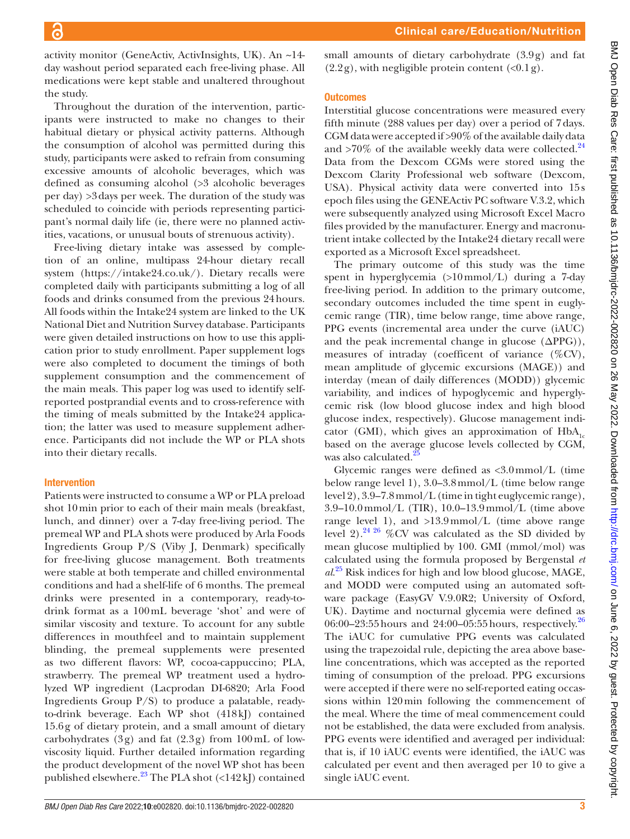activity monitor (GeneActiv, ActivInsights, UK). An ~14 day washout period separated each free-living phase. All medications were kept stable and unaltered throughout the study.

Throughout the duration of the intervention, participants were instructed to make no changes to their habitual dietary or physical activity patterns. Although the consumption of alcohol was permitted during this study, participants were asked to refrain from consuming excessive amounts of alcoholic beverages, which was defined as consuming alcohol (>3 alcoholic beverages per day) >3days per week. The duration of the study was scheduled to coincide with periods representing participant's normal daily life (ie, there were no planned activities, vacations, or unusual bouts of strenuous activity).

Free-living dietary intake was assessed by completion of an online, multipass 24-hour dietary recall system [\(https://intake24.co.uk/\)](https://intake24.co.uk/). Dietary recalls were completed daily with participants submitting a log of all foods and drinks consumed from the previous 24hours. All foods within the Intake24 system are linked to the UK National Diet and Nutrition Survey database. Participants were given detailed instructions on how to use this application prior to study enrollment. Paper supplement logs were also completed to document the timings of both supplement consumption and the commencement of the main meals. This paper log was used to identify selfreported postprandial events and to cross-reference with the timing of meals submitted by the Intake24 application; the latter was used to measure supplement adherence. Participants did not include the WP or PLA shots into their dietary recalls.

#### Intervention

Patients were instructed to consume a WP or PLA preload shot 10min prior to each of their main meals (breakfast, lunch, and dinner) over a 7-day free-living period. The premeal WP and PLA shots were produced by Arla Foods Ingredients Group P/S (Viby J, Denmark) specifically for free-living glucose management. Both treatments were stable at both temperate and chilled environmental conditions and had a shelf-life of 6 months. The premeal drinks were presented in a contemporary, ready-todrink format as a 100mL beverage 'shot' and were of similar viscosity and texture. To account for any subtle differences in mouthfeel and to maintain supplement blinding, the premeal supplements were presented as two different flavors: WP, cocoa-cappuccino; PLA, strawberry. The premeal WP treatment used a hydrolyzed WP ingredient (Lacprodan DI-6820; Arla Food Ingredients Group P/S) to produce a palatable, readyto-drink beverage. Each WP shot (418kJ) contained 15.6g of dietary protein, and a small amount of dietary carbohydrates (3g) and fat (2.3g) from 100mL of lowviscosity liquid. Further detailed information regarding the product development of the novel WP shot has been published elsewhere. $^{23}$  The PLA shot (<142kJ) contained

small amounts of dietary carbohydrate (3.9g) and fat  $(2.2g)$ , with negligible protein content  $(\langle 0.1g \rangle)$ .

#### **Outcomes**

Interstitial glucose concentrations were measured every fifth minute (288 values per day) over a period of 7days. CGM data were accepted if >90% of the available daily data and  $>70\%$  of the available weekly data were collected.<sup>[24](#page-7-17)</sup> Data from the Dexcom CGMs were stored using the Dexcom Clarity Professional web software (Dexcom, USA). Physical activity data were converted into 15s epoch files using the GENEActiv PC software V.3.2, which were subsequently analyzed using Microsoft Excel Macro files provided by the manufacturer. Energy and macronutrient intake collected by the Intake24 dietary recall were exported as a Microsoft Excel spreadsheet.

The primary outcome of this study was the time spent in hyperglycemia (>10mmol/L) during a 7-day free-living period. In addition to the primary outcome, secondary outcomes included the time spent in euglycemic range (TIR), time below range, time above range, PPG events (incremental area under the curve (iAUC) and the peak incremental change in glucose  $(\Delta PPG)$ ), measures of intraday (coefficent of variance (%CV), mean amplitude of glycemic excursions (MAGE)) and interday (mean of daily differences (MODD)) glycemic variability, and indices of hypoglycemic and hyperglycemic risk (low blood glucose index and high blood glucose index, respectively). Glucose management indicator (GMI), which gives an approximation of  $HbA<sub>1c</sub>$ based on the average glucose levels collected by CGM, was also calculated.<sup>2</sup>

Glycemic ranges were defined as <3.0mmol/L (time below range level 1), 3.0–3.8mmol/L (time below range level 2), 3.9–7.8mmol/L (time in tight euglycemic range), 3.9–10.0mmol/L (TIR), 10.0–13.9mmol/L (time above range level 1), and >13.9mmol/L (time above range level 2).<sup>24 26</sup> %CV was calculated as the SD divided by mean glucose multiplied by 100. GMI (mmol/mol) was calculated using the formula proposed by Bergenstal *et al*. [25](#page-7-18) Risk indices for high and low blood glucose, MAGE, and MODD were computed using an automated software package (EasyGV V.9.0R2; University of Oxford, UK). Daytime and nocturnal glycemia were defined as 06:00–23:55 hours and 24:00–05:55 hours, respectively.<sup>[26](#page-7-19)</sup> The iAUC for cumulative PPG events was calculated using the trapezoidal rule, depicting the area above baseline concentrations, which was accepted as the reported timing of consumption of the preload. PPG excursions were accepted if there were no self-reported eating occassions within 120min following the commencement of the meal. Where the time of meal commencement could not be established, the data were excluded from analysis. PPG events were identified and averaged per individual: that is, if 10 iAUC events were identified, the iAUC was calculated per event and then averaged per 10 to give a single iAUC event.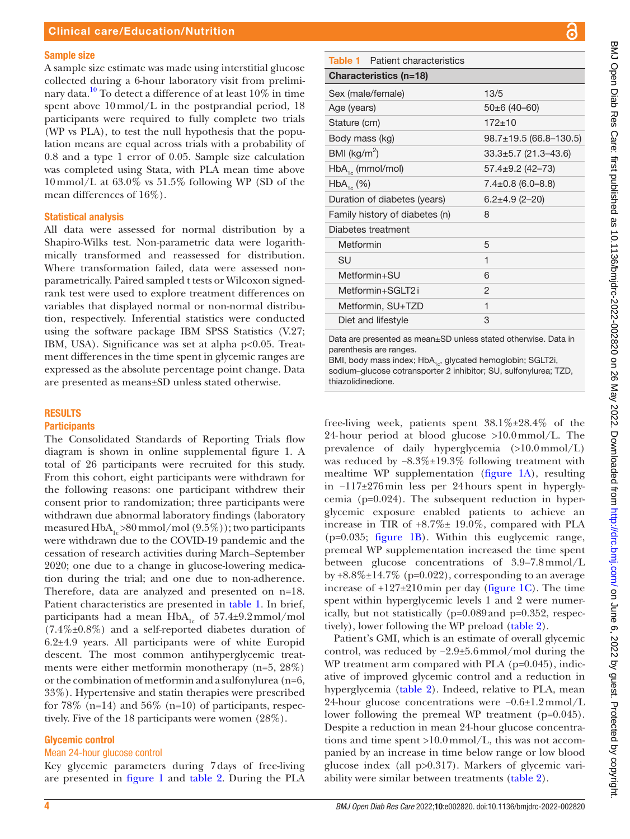#### Sample size

A sample size estimate was made using interstitial glucose collected during a 6-hour laboratory visit from preliminary data.<sup>10</sup> To detect a difference of at least  $10\%$  in time spent above 10mmol/L in the postprandial period, 18 participants were required to fully complete two trials (WP vs PLA), to test the null hypothesis that the population means are equal across trials with a probability of 0.8 and a type 1 error of 0.05. Sample size calculation was completed using Stata, with PLA mean time above  $10$  mmol/L at  $63.0\%$  vs  $51.5\%$  following WP (SD of the mean differences of 16%).

#### Statistical analysis

All data were assessed for normal distribution by a Shapiro-Wilks test. Non-parametric data were logarithmically transformed and reassessed for distribution. Where transformation failed, data were assessed nonparametrically. Paired sampled t tests or Wilcoxon signedrank test were used to explore treatment differences on variables that displayed normal or non-normal distribution, respectively. Inferential statistics were conducted using the software package IBM SPSS Statistics (V.27; IBM, USA). Significance was set at alpha p<0.05. Treatment differences in the time spent in glycemic ranges are expressed as the absolute percentage point change. Data are presented as means±SD unless stated otherwise.

#### RESULTS

#### **Participants**

The Consolidated Standards of Reporting Trials flow diagram is shown in [online supplemental figure 1](https://dx.doi.org/10.1136/bmjdrc-2022-002820). A total of 26 participants were recruited for this study. From this cohort, eight participants were withdrawn for the following reasons: one participant withdrew their consent prior to randomization; three participants were withdrawn due abnormal laboratory findings (laboratory measured  $HbA<sub>1c</sub> > 80$  mmol/mol  $(9.5\%)$ ; two participants were withdrawn due to the COVID-19 pandemic and the cessation of research activities during March–September 2020; one due to a change in glucose-lowering medication during the trial; and one due to non-adherence. Therefore, data are analyzed and presented on n=18. Patient characteristics are presented in [table](#page-3-0) 1. In brief, participants had a mean  $HbA_{1c}$  of 57.4±9.2mmol/mol (7.4%±0.8%) and a self-reported diabetes duration of 6.2±4.9 years. All participants were of white Europid descent. The most common antihyperglycemic treatments were either metformin monotherapy (n=5, 28%) or the combination of metformin and a sulfonylurea (n=6, 33%). Hypertensive and statin therapies were prescribed for 78\% (n=14) and 56\% (n=10) of participants, respectively. Five of the 18 participants were women (28%).

#### Glycemic control

#### Mean 24-hour glucose control

Key glycemic parameters during 7days of free-living are presented in [figure](#page-4-0) 1 and [table](#page-4-1) 2. During the PLA

<span id="page-3-0"></span>

| <b>Table 1</b> Patient characteristics                                      |                              |  |  |  |
|-----------------------------------------------------------------------------|------------------------------|--|--|--|
| Characteristics (n=18)                                                      |                              |  |  |  |
| Sex (male/female)                                                           | 13/5                         |  |  |  |
| Age (years)                                                                 | $50\pm 6$ (40-60)            |  |  |  |
| Stature (cm)                                                                | $172 \pm 10$                 |  |  |  |
| Body mass (kg)                                                              | $98.7 \pm 19.5$ (66.8-130.5) |  |  |  |
| BMI ( $\text{kg/m}^2$ )                                                     | $33.3 \pm 5.7$ (21.3–43.6)   |  |  |  |
| $HbA_{1c}$ (mmol/mol)                                                       | $57.4 \pm 9.2$ (42-73)       |  |  |  |
| $HbA_{1c}$ (%)                                                              | $7.4 \pm 0.8$ (6.0–8.8)      |  |  |  |
| Duration of diabetes (years)                                                | $6.2 \pm 4.9$ (2-20)         |  |  |  |
| Family history of diabetes (n)                                              | 8                            |  |  |  |
| Diabetes treatment                                                          |                              |  |  |  |
| Metformin                                                                   | 5                            |  |  |  |
| SU                                                                          | 1                            |  |  |  |
| Metformin+SU                                                                | 6                            |  |  |  |
| Metformin+SGI T2i                                                           | 2                            |  |  |  |
| Metformin, SU+TZD                                                           | 1                            |  |  |  |
| Diet and lifestyle                                                          | 3                            |  |  |  |
| $Data$ are presented as mean $\epsilon$ D unless stated athenuing $Data$ in |                              |  |  |  |

are presented as mean $\pm$ SD unless stated otherwise. Data in parenthesis are ranges.

BMI, body mass index; HbA<sub>1c</sub>, glycated hemoglobin; SGLT2i, sodium–glucose cotransporter 2 inhibitor; SU, sulfonylurea; TZD, thiazolidinedione.

free-living week, patients spent  $38.1\% \pm 28.4\%$  of the 24-hour period at blood glucose  $>10.0$  mmol/L. The prevalence of daily hyperglycemia (>10.0mmol/L) was reduced by  $-8.3\% \pm 19.3\%$  following treatment with mealtime WP supplementation [\(figure](#page-4-0) 1A), resulting in −117±276min less per 24hours spent in hyperglycemia (p=0.024). The subsequent reduction in hyperglycemic exposure enabled patients to achieve an increase in TIR of +8.7%± 19.0%, compared with PLA (p=0.035; [figure](#page-4-0) 1B). Within this euglycemic range, premeal WP supplementation increased the time spent between glucose concentrations of 3.9–7.8mmol/L by  $+8.8\% \pm 14.7\%$  (p=0.022), corresponding to an average increase of  $+127\pm210$  min per day ([figure](#page-4-0) 1C). The time spent within hyperglycemic levels 1 and 2 were numerically, but not statistically (p=0.089and p=0.352, respectively), lower following the WP preload [\(table](#page-4-1) 2).

Patient's GMI, which is an estimate of overall glycemic control, was reduced by −2.9±5.6mmol/mol during the WP treatment arm compared with PLA (p=0.045), indicative of improved glycemic control and a reduction in hyperglycemia ([table](#page-4-1) 2). Indeed, relative to PLA, mean 24-hour glucose concentrations were −0.6±1.2mmol/L lower following the premeal WP treatment (p=0.045). Despite a reduction in mean 24-hour glucose concentrations and time spent >10.0mmol/L, this was not accompanied by an increase in time below range or low blood glucose index (all p>0.317). Markers of glycemic variability were similar between treatments [\(table](#page-4-1) 2).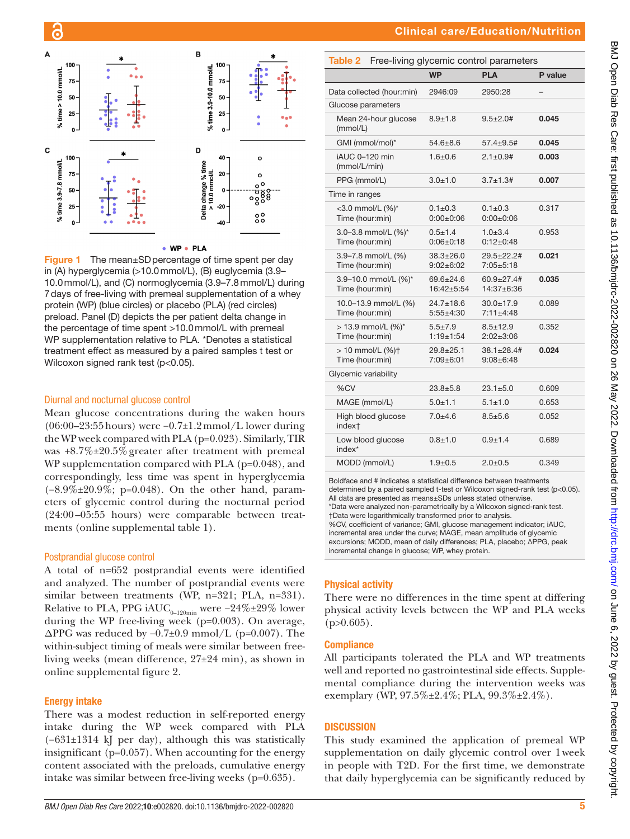

#### • WP • PLA

<span id="page-4-0"></span>Figure 1 The mean±SD percentage of time spent per day in (A) hyperglycemia (>10.0mmol/L), (B) euglycemia (3.9– 10.0mmol/L), and (C) normoglycemia (3.9–7.8mmol/L) during 7days of free-living with premeal supplementation of a whey protein (WP) (blue circles) or placebo (PLA) (red circles) preload. Panel (D) depicts the per patient delta change in the percentage of time spent >10.0mmol/L with premeal WP supplementation relative to PLA. \*Denotes a statistical treatment effect as measured by a paired samples t test or Wilcoxon signed rank test (p<0.05).

#### Diurnal and nocturnal glucose control

Mean glucose concentrations during the waken hours (06:00–23:55hours) were −0.7±1.2mmol/L lower during the WP week compared with PLA (p=0.023). Similarly, TIR was +8.7%±20.5%greater after treatment with premeal WP supplementation compared with PLA (p=0.048), and correspondingly, less time was spent in hyperglycemia (−8.9%±20.9%; p=0.048). On the other hand, parameters of glycemic control during the nocturnal period (24:00–05:55 hours) were comparable between treatments [\(online supplemental table 1](https://dx.doi.org/10.1136/bmjdrc-2022-002820)).

#### Postprandial glucose control

A total of n=652 postprandial events were identified and analyzed. The number of postprandial events were similar between treatments (WP, n=321; PLA, n=331). Relative to PLA, PPG iAUC<sub>0–120min</sub> were −24%±29% lower during the WP free-living week (p=0.003). On average,  $\Delta$ PPG was reduced by -0.7±0.9 mmol/L (p=0.007). The within-subject timing of meals were similar between freeliving weeks (mean difference, 27±24 min), as shown in [online supplemental figure 2](https://dx.doi.org/10.1136/bmjdrc-2022-002820).

#### Energy intake

There was a modest reduction in self-reported energy intake during the WP week compared with PLA (−631±1314 kJ per day), although this was statistically insignificant (p=0.057). When accounting for the energy content associated with the preloads, cumulative energy intake was similar between free-living weeks (p=0.635).

<span id="page-4-1"></span>

| Table 2                        | Free-living glycemic control parameters |                                    |                                       |         |  |
|--------------------------------|-----------------------------------------|------------------------------------|---------------------------------------|---------|--|
|                                |                                         | <b>WP</b>                          | <b>PLA</b>                            | P value |  |
|                                | Data collected (hour:min)               | 2946:09                            | 2950:28                               |         |  |
| Glucose parameters             |                                         |                                    |                                       |         |  |
| (mmol/L)                       | Mean 24-hour glucose                    | $8.9 + 1.8$                        | $9.5 + 2.0$ #                         | 0.045   |  |
| GMI (mmol/mol)*                |                                         | $54.6 + 8.6$                       | $57.4 + 9.5$ #                        | 0.045   |  |
| iAUC 0-120 min<br>(mmol/L/min) |                                         | $1.6 + 0.6$                        | $2.1 \pm 0.9$ #                       | 0.003   |  |
| PPG (mmol/L)                   |                                         | $3.0 + 1.0$                        | $3.7 + 1.3#$                          | 0.007   |  |
| Time in ranges                 |                                         |                                    |                                       |         |  |
| Time (hour:min)                | <3.0 mmol/L (%)*                        | $0.1 + 0.3$<br>$0:00+0:06$         | $0.1 + 0.3$<br>$0:00+0:06$            | 0.317   |  |
| Time (hour:min)                | 3.0-3.8 mmol/L (%)*                     | $0.5 + 1.4$<br>$0:06+0:18$         | $1.0 + 3.4$<br>$0:12+0:48$            | 0.953   |  |
| Time (hour:min)                | 3.9-7.8 mmol/L (%)                      | $38.3 \pm 26.0$<br>$9:02 \pm 6:02$ | $29.5 + 22.2$ #<br>$7:05+5:18$        | 0.021   |  |
| Time (hour:min)                | 3.9-10.0 mmol/L (%)*                    | $69.6 + 24.6$<br>$16:42 + 5:54$    | $60.9 + 27.4$ #<br>$14:37+6:36$       | 0.035   |  |
| Time (hour:min)                | 10.0-13.9 mmol/L (%)                    | $24.7 + 18.6$<br>$5:55+4:30$       | $30.0 + 17.9$<br>$7:11+4:48$          | 0.089   |  |
| Time (hour:min)                | > 13.9 mmol/L (%)*                      | $5.5 + 7.9$<br>$1:19+1:54$         | $8.5 + 12.9$<br>$2:02 \pm 3:06$       | 0.352   |  |
| Time (hour:min)                | $> 10$ mmol/L $(%)$ †                   | $29.8 + 25.1$<br>$7:09 \pm 6:01$   | $38.1 \pm 28.4 \#$<br>$9:08 \pm 6:48$ | 0.024   |  |
| Glycemic variability           |                                         |                                    |                                       |         |  |
| %CV                            |                                         | $23.8 + 5.8$                       | $23.1 + 5.0$                          | 0.609   |  |
| MAGE (mmol/L)                  |                                         | $5.0 + 1.1$                        | $5.1 + 1.0$                           | 0.653   |  |
| index <sup>+</sup>             | High blood glucose                      | $7.0 + 4.6$                        | $8.5 + 5.6$                           | 0.052   |  |
| index*                         | Low blood glucose                       | $0.8 + 1.0$                        | $0.9 + 1.4$                           | 0.689   |  |
| MODD (mmol/L)                  |                                         | $1.9 + 0.5$                        | $2.0 + 0.5$                           | 0.349   |  |
|                                |                                         |                                    |                                       |         |  |

Boldface and # indicates a statistical difference between treatments determined by a paired sampled t-test or Wilcoxon signed-rank test (p<0.05). All data are presented as means±SDs unless stated otherwise. \*Data were analyzed non-parametrically by a Wilcoxon signed-rank test. †Data were logarithmically transformed prior to analysis. %CV, coefficient of variance; GMI, glucose management indicator; iAUC, incremental area under the curve; MAGE, mean amplitude of glycemic excursions; MODD, mean of daily differences; PLA, placebo; ∆PPG, peak incremental change in glucose; WP, whey protein.

#### Physical activity

There were no differences in the time spent at differing physical activity levels between the WP and PLA weeks  $(p>0.605)$ .

#### **Compliance**

All participants tolerated the PLA and WP treatments well and reported no gastrointestinal side effects. Supplemental compliance during the intervention weeks was exemplary (WP, 97.5%±2.4%; PLA, 99.3%±2.4%).

#### **DISCUSSION**

This study examined the application of premeal WP supplementation on daily glycemic control over 1week in people with T2D. For the first time, we demonstrate that daily hyperglycemia can be significantly reduced by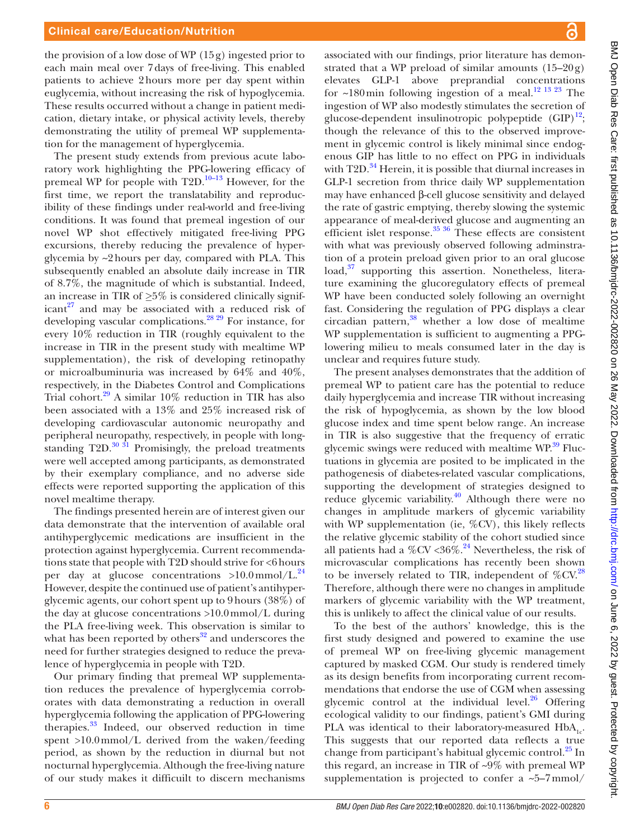the provision of a low dose of WP  $(15g)$  ingested prior to each main meal over 7days of free-living. This enabled patients to achieve 2hours more per day spent within euglycemia, without increasing the risk of hypoglycemia. These results occurred without a change in patient medication, dietary intake, or physical activity levels, thereby demonstrating the utility of premeal WP supplementation for the management of hyperglycemia.

The present study extends from previous acute laboratory work highlighting the PPG-lowering efficacy of premeal WP for people with  $T2D$ <sup>10–13</sup> However, for the first time, we report the translatability and reproducibility of these findings under real-world and free-living conditions. It was found that premeal ingestion of our novel WP shot effectively mitigated free-living PPG excursions, thereby reducing the prevalence of hyperglycemia by ~2hours per day, compared with PLA. This subsequently enabled an absolute daily increase in TIR of 8.7%, the magnitude of which is substantial. Indeed, an increase in TIR of *≥*5% is considered clinically significant $27$  and may be associated with a reduced risk of developing vascular complications[.28 29](#page-7-21) For instance, for every 10% reduction in TIR (roughly equivalent to the increase in TIR in the present study with mealtime WP supplementation), the risk of developing retinopathy or microalbuminuria was increased by 64% and 40%, respectively, in the Diabetes Control and Complications Trial cohort.<sup>[29](#page-7-22)</sup> A similar 10% reduction in TIR has also been associated with a 13% and 25% increased risk of developing cardiovascular autonomic neuropathy and peripheral neuropathy, respectively, in people with longstanding  $T2D$ .<sup>[30 31](#page-7-23)</sup> Promisingly, the preload treatments were well accepted among participants, as demonstrated by their exemplary compliance, and no adverse side effects were reported supporting the application of this novel mealtime therapy.

The findings presented herein are of interest given our data demonstrate that the intervention of available oral antihyperglycemic medications are insufficient in the protection against hyperglycemia. Current recommendations state that people with T2D should strive for <6hours per day at glucose concentrations  $>10.0 \text{mmol/L}^{24}$  $>10.0 \text{mmol/L}^{24}$  $>10.0 \text{mmol/L}^{24}$ However, despite the continued use of patient's antihyperglycemic agents, our cohort spent up to 9hours (38%) of the day at glucose concentrations >10.0mmol/L during the PLA free-living week. This observation is similar to what has been reported by others $32$  and underscores the need for further strategies designed to reduce the prevalence of hyperglycemia in people with T2D.

Our primary finding that premeal WP supplementation reduces the prevalence of hyperglycemia corroborates with data demonstrating a reduction in overall hyperglycemia following the application of PPG-lowering therapies.<sup>33</sup> Indeed, our observed reduction in time spent >10.0mmol/L derived from the waken/feeding period, as shown by the reduction in diurnal but not nocturnal hyperglycemia. Although the free-living nature of our study makes it difficuilt to discern mechanisms

associated with our findings, prior literature has demonstrated that a WP preload of similar amounts  $(15-20g)$ elevates GLP-1 above preprandial concentrations for  $\sim$ 180 min following ingestion of a meal.<sup>12 13 23</sup> The ingestion of WP also modestly stimulates the secretion of glucose-dependent insulinotropic polypeptide  $(GIP)^{12}$ ; though the relevance of this to the observed improvement in glycemic control is likely minimal since endogenous GIP has little to no effect on PPG in individuals with T2D.<sup>[34](#page-7-27)</sup> Herein, it is possible that diurnal increases in GLP-1 secretion from thrice daily WP supplementation may have enhanced β-cell glucose sensitivity and delayed the rate of gastric emptying, thereby slowing the systemic appearance of meal-derived glucose and augmenting an efficient islet response. $35 \frac{36}{10}$  These effects are consistent with what was previously observed following adminstration of a protein preload given prior to an oral glucose load,<sup>37</sup> supporting this assertion. Nonetheless, literature examining the glucoregulatory effects of premeal WP have been conducted solely following an overnight fast. Considering the regulation of PPG displays a clear circadian pattern, $38$  whether a low dose of mealtime WP supplementation is sufficient to augmenting a PPGlowering milieu to meals consumed later in the day is unclear and requires future study.

The present analyses demonstrates that the addition of premeal WP to patient care has the potential to reduce daily hyperglycemia and increase TIR without increasing the risk of hypoglycemia, as shown by the low blood glucose index and time spent below range. An increase in TIR is also suggestive that the frequency of erratic glycemic swings were reduced with mealtime WP.<sup>39</sup> Fluctuations in glycemia are posited to be implicated in the pathogenesis of diabetes-related vascular complications, supporting the development of strategies designed to reduce glycemic variability.<sup>[40](#page-7-32)</sup> Although there were no changes in amplitude markers of glycemic variability with WP supplementation (ie, %CV), this likely reflects the relative glycemic stability of the cohort studied since all patients had a %CV <36%.<sup>24</sup> Nevertheless, the risk of microvascular complications has recently been shown to be inversely related to TIR, independent of  $\%$ CV.<sup>28</sup> Therefore, although there were no changes in amplitude markers of glycemic variability with the WP treatment, this is unlikely to affect the clinical value of our results.

To the best of the authors' knowledge, this is the first study designed and powered to examine the use of premeal WP on free-living glycemic management captured by masked CGM. Our study is rendered timely as its design benefits from incorporating current recommendations that endorse the use of CGM when assessing glycemic control at the individual level. $26$  Offering ecological validity to our findings, patient's GMI during PLA was identical to their laboratory-measured  $HbA_{1c}$ . This suggests that our reported data reflects a true change from participant's habitual glycemic control.<sup>[25](#page-7-18)</sup> In this regard, an increase in TIR of ~9% with premeal WP supplementation is projected to confer a  $\sim 5-7$  mmol/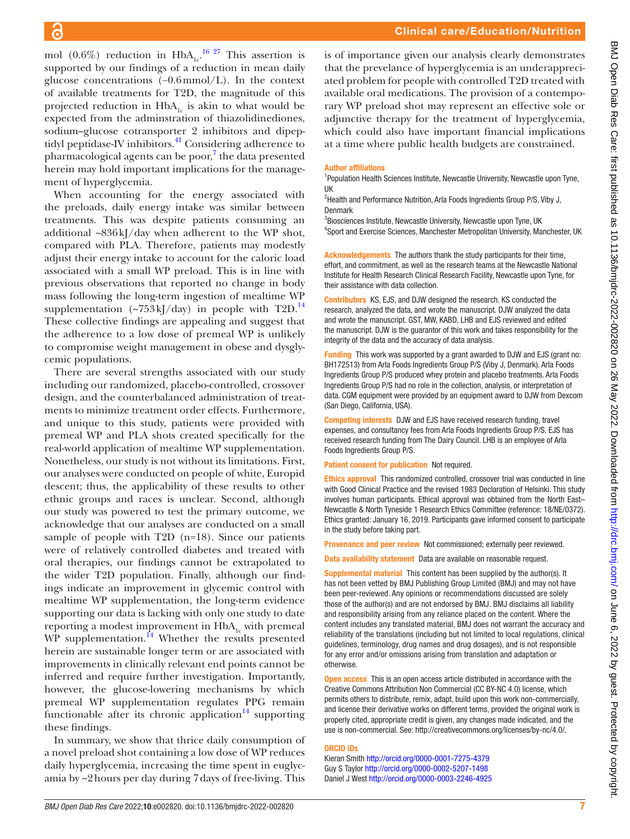is of importance given our analysis clearly demonstrates that the prevelance of hyperglycemia is an underappreciated problem for people with controlled T2D treated with available oral medications. The provision of a contemporary WP preload shot may represent an effective sole or adjunctive therapy for the treatment of hyperglycemia, which could also have important financial implications at a time where public health budgets are constrained. Author affiliations <sup>1</sup>Population Health Sciences Institute, Newcastle University, Newcastle upon Tyne, UK <sup>2</sup>Health and Performance Nutrition, Arla Foods Ingredients Group P/S, Viby J, Denmark <sup>3</sup>Biosciences Institute, Newcastle University, Newcastle upon Tyne, UK <sup>4</sup>Sport and Exercise Sciences, Manchester Metropolitan University, Manchester, UK Acknowledgements The authors thank the study participants for their time, effort, and commitment, as well as the research teams at the Newcastle National Institute for Health Research Clinical Research Facility, Newcastle upon Tyne, for their assistance with data collection.

> Contributors KS, EJS, and DJW designed the research. KS conducted the research, analyzed the data, and wrote the manuscript. DJW analyzed the data and wrote the manuscript. GST, MW, KABD, LHB and EJS reviewed and edited the manuscript. DJW is the guarantor of this work and takes responsibility for the integrity of the data and the accuracy of data analysis.

Funding This work was supported by a grant awarded to DJW and EJS (grant no: BH172513) from Arla Foods Ingredients Group P/S (Viby J, Denmark). Arla Foods Ingredients Group P/S produced whey protein and placebo treatments. Arla Foods Ingredients Group P/S had no role in the collection, analysis, or interpretation of data. CGM equipment were provided by an equipment award to DJW from Dexcom (San Diego, California, USA).

Competing interests DJW and EJS have received research funding, travel expenses, and consultancy fees from Arla Foods Ingredients Group P/S. EJS has received research funding from The Dairy Council. LHB is an employee of Arla Foods Ingredients Group P/S.

Patient consent for publication Not required.

Ethics approval This randomized controlled, crossover trial was conducted in line with Good Clinical Practice and the revised 1983 Declaration of Helsinki. This study involves human participants. Ethical approval was obtained from the North East– Newcastle & North Tyneside 1 Research Ethics Committee (reference: 18/NE/0372). Ethics granted: January 16, 2019. Participants gave informed consent to participate in the study before taking part.

Provenance and peer review Not commissioned; externally peer reviewed.

Data availability statement Data are available on reasonable request.

Supplemental material This content has been supplied by the author(s). It has not been vetted by BMJ Publishing Group Limited (BMJ) and may not have been peer-reviewed. Any opinions or recommendations discussed are solely those of the author(s) and are not endorsed by BMJ. BMJ disclaims all liability and responsibility arising from any reliance placed on the content. Where the content includes any translated material, BMJ does not warrant the accuracy and reliability of the translations (including but not limited to local regulations, clinical guidelines, terminology, drug names and drug dosages), and is not responsible for any error and/or omissions arising from translation and adaptation or otherwise.

Open access This is an open access article distributed in accordance with the Creative Commons Attribution Non Commercial (CC BY-NC 4.0) license, which permits others to distribute, remix, adapt, build upon this work non-commercially, and license their derivative works on different terms, provided the original work is properly cited, appropriate credit is given, any changes made indicated, and the use is non-commercial. See: <http://creativecommons.org/licenses/by-nc/4.0/>.

#### ORCID iDs

Kieran Smith <http://orcid.org/0000-0001-7275-4379> Guy S Taylor<http://orcid.org/0000-0002-5207-1498> Daniel J West<http://orcid.org/0000-0003-2246-4925>

mol (0.6%) reduction in  $HbA_{1c}$ <sup>16 27</sup> This assertion is supported by our findings of a reduction in mean daily glucose concentrations (−0.6mmol/L). In the context of available treatments for T2D, the magnitude of this projected reduction in  $HbA_{1c}$  is akin to what would be expected from the adminstration of thiazolidinediones, sodium–glucose cotransporter 2 inhibitors and dipeptidyl peptidase-IV inhibitors.<sup>41</sup> Considering adherence to pharmacological agents can be poor,<sup>[7](#page-7-3)</sup> the data presented herein may hold important implications for the management of hyperglycemia.

When accounting for the energy associated with the preloads, daily energy intake was similar between treatments. This was despite patients consuming an additional ~836kJ/day when adherent to the WP shot, compared with PLA. Therefore, patients may modestly adjust their energy intake to account for the caloric load associated with a small WP preload. This is in line with previous observations that reported no change in body mass following the long-term ingestion of mealtime WP supplementation  $({\sim}753 \text{ kJ/day})$  in people with T2D.<sup>14</sup> These collective findings are appealing and suggest that the adherence to a low dose of premeal WP is unlikely to compromise weight management in obese and dysglycemic populations.

There are several strengths associated with our study including our randomized, placebo-controlled, crossover design, and the counterbalanced administration of treatments to minimize treatment order effects. Furthermore, and unique to this study, patients were provided with premeal WP and PLA shots created specifically for the real-world application of mealtime WP supplementation. Nonetheless, our study is not without its limitations. First, our analyses were conducted on people of white, Europid descent; thus, the applicability of these results to other ethnic groups and races is unclear. Second, although our study was powered to test the primary outcome, we acknowledge that our analyses are conducted on a small sample of people with T2D (n=18). Since our patients were of relatively controlled diabetes and treated with oral therapies, our findings cannot be extrapolated to the wider T2D population. Finally, although our findings indicate an improvement in glycemic control with mealtime WP supplementation, the long-term evidence supporting our data is lacking with only one study to date reporting a modest improvement in  $HbA<sub>1c</sub>$  with premeal WP supplementation. $^{14}$  Whether the results presented herein are sustainable longer term or are associated with improvements in clinically relevant end points cannot be inferred and require further investigation. Importantly, however, the glucose-lowering mechanisms by which premeal WP supplementation regulates PPG remain functionable after its chronic application $14$  supporting these findings.

In summary, we show that thrice daily consumption of a novel preload shot containing a low dose of WP reduces daily hyperglycemia, increasing the time spent in euglycamia by ~2hours per day during 7days of free-living. This